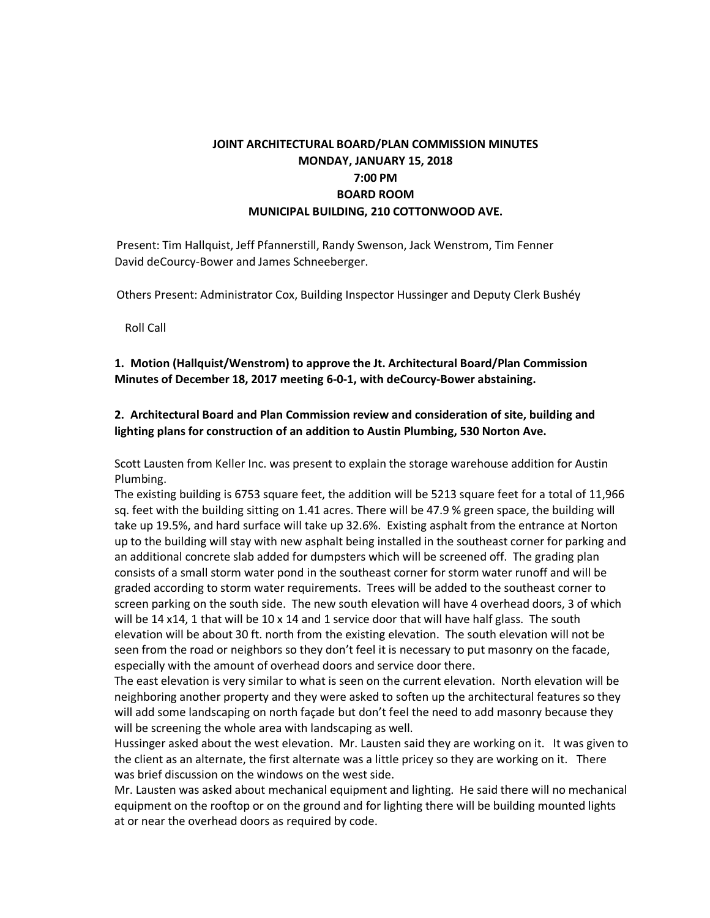# **JOINT ARCHITECTURAL BOARD/PLAN COMMISSION MINUTES MONDAY, JANUARY 15, 2018 7:00 PM BOARD ROOM MUNICIPAL BUILDING, 210 COTTONWOOD AVE.**

Present: Tim Hallquist, Jeff Pfannerstill, Randy Swenson, Jack Wenstrom, Tim Fenner David deCourcy-Bower and James Schneeberger.

Others Present: Administrator Cox, Building Inspector Hussinger and Deputy Clerk Bushéy

Roll Call

**1. Motion (Hallquist/Wenstrom) to approve the Jt. Architectural Board/Plan Commission Minutes of December 18, 2017 meeting 6-0-1, with deCourcy-Bower abstaining.**

## **2. Architectural Board and Plan Commission review and consideration of site, building and lighting plans for construction of an addition to Austin Plumbing, 530 Norton Ave.**

Scott Lausten from Keller Inc. was present to explain the storage warehouse addition for Austin Plumbing.

The existing building is 6753 square feet, the addition will be 5213 square feet for a total of 11,966 sq. feet with the building sitting on 1.41 acres. There will be 47.9 % green space, the building will take up 19.5%, and hard surface will take up 32.6%. Existing asphalt from the entrance at Norton up to the building will stay with new asphalt being installed in the southeast corner for parking and an additional concrete slab added for dumpsters which will be screened off. The grading plan consists of a small storm water pond in the southeast corner for storm water runoff and will be graded according to storm water requirements. Trees will be added to the southeast corner to screen parking on the south side. The new south elevation will have 4 overhead doors, 3 of which will be 14 x14, 1 that will be  $10 \times 14$  and 1 service door that will have half glass. The south elevation will be about 30 ft. north from the existing elevation. The south elevation will not be seen from the road or neighbors so they don't feel it is necessary to put masonry on the facade, especially with the amount of overhead doors and service door there.

The east elevation is very similar to what is seen on the current elevation. North elevation will be neighboring another property and they were asked to soften up the architectural features so they will add some landscaping on north façade but don't feel the need to add masonry because they will be screening the whole area with landscaping as well.

Hussinger asked about the west elevation. Mr. Lausten said they are working on it. It was given to the client as an alternate, the first alternate was a little pricey so they are working on it. There was brief discussion on the windows on the west side.

Mr. Lausten was asked about mechanical equipment and lighting. He said there will no mechanical equipment on the rooftop or on the ground and for lighting there will be building mounted lights at or near the overhead doors as required by code.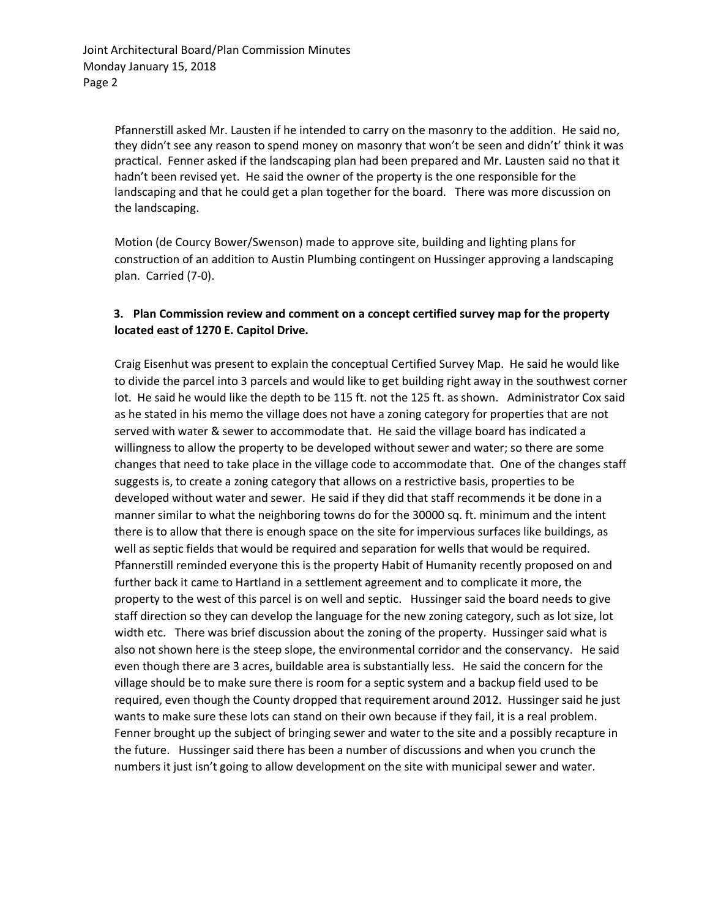Pfannerstill asked Mr. Lausten if he intended to carry on the masonry to the addition. He said no, they didn't see any reason to spend money on masonry that won't be seen and didn't' think it was practical. Fenner asked if the landscaping plan had been prepared and Mr. Lausten said no that it hadn't been revised yet. He said the owner of the property is the one responsible for the landscaping and that he could get a plan together for the board. There was more discussion on the landscaping.

Motion (de Courcy Bower/Swenson) made to approve site, building and lighting plans for construction of an addition to Austin Plumbing contingent on Hussinger approving a landscaping plan. Carried (7-0).

## **3. Plan Commission review and comment on a concept certified survey map for the property located east of 1270 E. Capitol Drive.**

Craig Eisenhut was present to explain the conceptual Certified Survey Map. He said he would like to divide the parcel into 3 parcels and would like to get building right away in the southwest corner lot. He said he would like the depth to be 115 ft. not the 125 ft. as shown. Administrator Cox said as he stated in his memo the village does not have a zoning category for properties that are not served with water & sewer to accommodate that. He said the village board has indicated a willingness to allow the property to be developed without sewer and water; so there are some changes that need to take place in the village code to accommodate that. One of the changes staff suggests is, to create a zoning category that allows on a restrictive basis, properties to be developed without water and sewer. He said if they did that staff recommends it be done in a manner similar to what the neighboring towns do for the 30000 sq. ft. minimum and the intent there is to allow that there is enough space on the site for impervious surfaces like buildings, as well as septic fields that would be required and separation for wells that would be required. Pfannerstill reminded everyone this is the property Habit of Humanity recently proposed on and further back it came to Hartland in a settlement agreement and to complicate it more, the property to the west of this parcel is on well and septic. Hussinger said the board needs to give staff direction so they can develop the language for the new zoning category, such as lot size, lot width etc. There was brief discussion about the zoning of the property. Hussinger said what is also not shown here is the steep slope, the environmental corridor and the conservancy. He said even though there are 3 acres, buildable area is substantially less. He said the concern for the village should be to make sure there is room for a septic system and a backup field used to be required, even though the County dropped that requirement around 2012. Hussinger said he just wants to make sure these lots can stand on their own because if they fail, it is a real problem. Fenner brought up the subject of bringing sewer and water to the site and a possibly recapture in the future. Hussinger said there has been a number of discussions and when you crunch the numbers it just isn't going to allow development on the site with municipal sewer and water.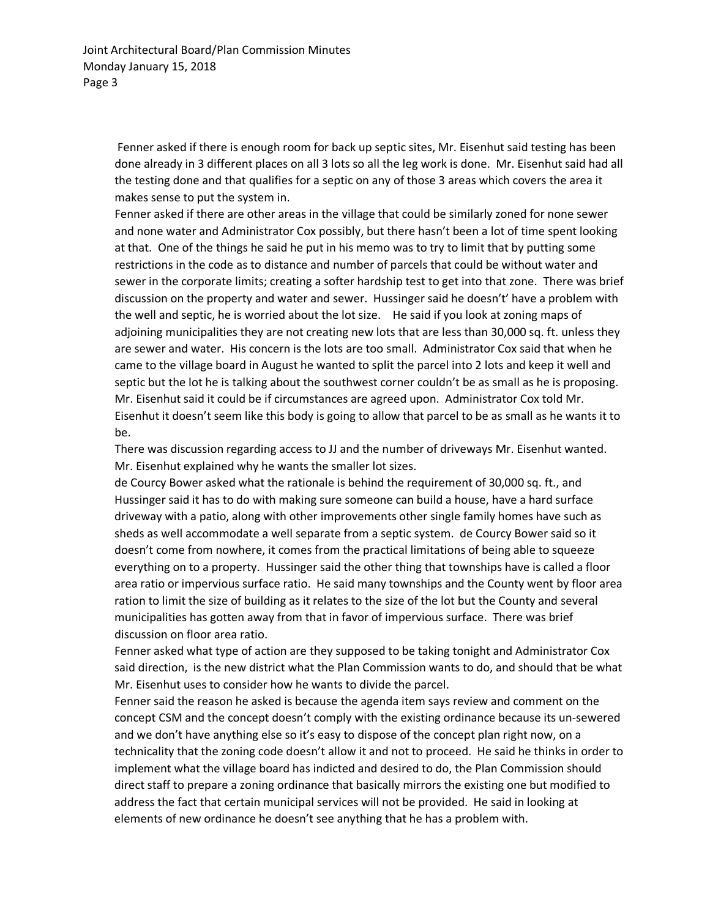Fenner asked if there is enough room for back up septic sites, Mr. Eisenhut said testing has been done already in 3 different places on all 3 lots so all the leg work is done. Mr. Eisenhut said had all the testing done and that qualifies for a septic on any of those 3 areas which covers the area it makes sense to put the system in.

Fenner asked if there are other areas in the village that could be similarly zoned for none sewer and none water and Administrator Cox possibly, but there hasn't been a lot of time spent looking at that. One of the things he said he put in his memo was to try to limit that by putting some restrictions in the code as to distance and number of parcels that could be without water and sewer in the corporate limits; creating a softer hardship test to get into that zone. There was brief discussion on the property and water and sewer. Hussinger said he doesn't' have a problem with the well and septic, he is worried about the lot size. He said if you look at zoning maps of adjoining municipalities they are not creating new lots that are less than 30,000 sq. ft. unless they are sewer and water. His concern is the lots are too small. Administrator Cox said that when he came to the village board in August he wanted to split the parcel into 2 lots and keep it well and septic but the lot he is talking about the southwest corner couldn't be as small as he is proposing. Mr. Eisenhut said it could be if circumstances are agreed upon. Administrator Cox told Mr. Eisenhut it doesn't seem like this body is going to allow that parcel to be as small as he wants it to be.

There was discussion regarding access to JJ and the number of driveways Mr. Eisenhut wanted. Mr. Eisenhut explained why he wants the smaller lot sizes.

de Courcy Bower asked what the rationale is behind the requirement of 30,000 sq. ft., and Hussinger said it has to do with making sure someone can build a house, have a hard surface driveway with a patio, along with other improvements other single family homes have such as sheds as well accommodate a well separate from a septic system. de Courcy Bower said so it doesn't come from nowhere, it comes from the practical limitations of being able to squeeze everything on to a property. Hussinger said the other thing that townships have is called a floor area ratio or impervious surface ratio. He said many townships and the County went by floor area ration to limit the size of building as it relates to the size of the lot but the County and several municipalities has gotten away from that in favor of impervious surface. There was brief discussion on floor area ratio.

Fenner asked what type of action are they supposed to be taking tonight and Administrator Cox said direction, is the new district what the Plan Commission wants to do, and should that be what Mr. Eisenhut uses to consider how he wants to divide the parcel.

Fenner said the reason he asked is because the agenda item says review and comment on the concept CSM and the concept doesn't comply with the existing ordinance because its un-sewered and we don't have anything else so it's easy to dispose of the concept plan right now, on a technicality that the zoning code doesn't allow it and not to proceed. He said he thinks in order to implement what the village board has indicted and desired to do, the Plan Commission should direct staff to prepare a zoning ordinance that basically mirrors the existing one but modified to address the fact that certain municipal services will not be provided. He said in looking at elements of new ordinance he doesn't see anything that he has a problem with.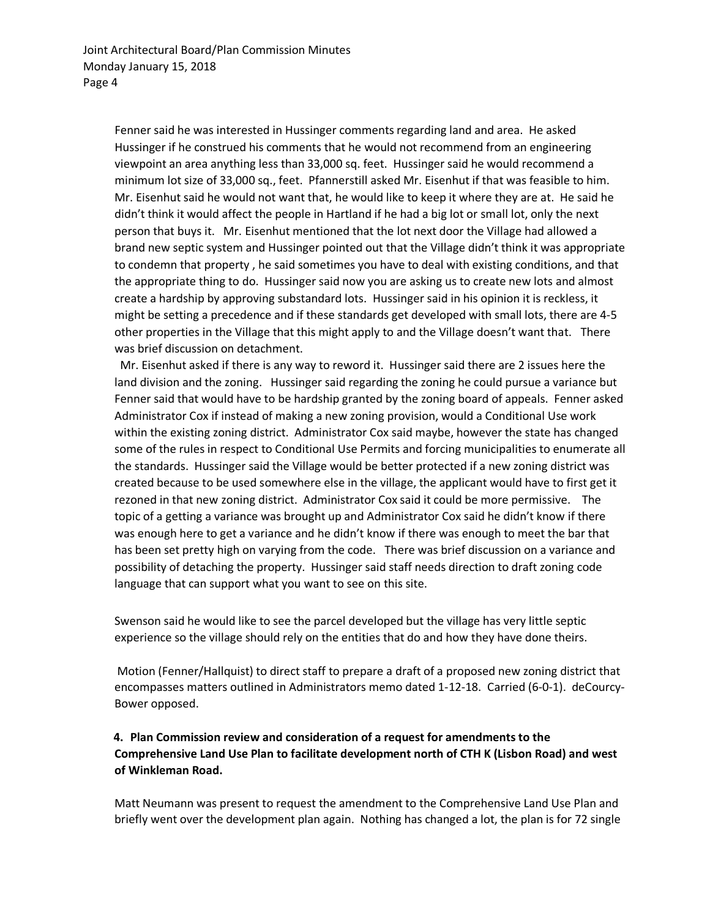Fenner said he was interested in Hussinger comments regarding land and area. He asked Hussinger if he construed his comments that he would not recommend from an engineering viewpoint an area anything less than 33,000 sq. feet. Hussinger said he would recommend a minimum lot size of 33,000 sq., feet. Pfannerstill asked Mr. Eisenhut if that was feasible to him. Mr. Eisenhut said he would not want that, he would like to keep it where they are at. He said he didn't think it would affect the people in Hartland if he had a big lot or small lot, only the next person that buys it. Mr. Eisenhut mentioned that the lot next door the Village had allowed a brand new septic system and Hussinger pointed out that the Village didn't think it was appropriate to condemn that property , he said sometimes you have to deal with existing conditions, and that the appropriate thing to do. Hussinger said now you are asking us to create new lots and almost create a hardship by approving substandard lots. Hussinger said in his opinion it is reckless, it might be setting a precedence and if these standards get developed with small lots, there are 4-5 other properties in the Village that this might apply to and the Village doesn't want that. There was brief discussion on detachment.

 Mr. Eisenhut asked if there is any way to reword it. Hussinger said there are 2 issues here the land division and the zoning. Hussinger said regarding the zoning he could pursue a variance but Fenner said that would have to be hardship granted by the zoning board of appeals. Fenner asked Administrator Cox if instead of making a new zoning provision, would a Conditional Use work within the existing zoning district. Administrator Cox said maybe, however the state has changed some of the rules in respect to Conditional Use Permits and forcing municipalities to enumerate all the standards. Hussinger said the Village would be better protected if a new zoning district was created because to be used somewhere else in the village, the applicant would have to first get it rezoned in that new zoning district. Administrator Cox said it could be more permissive. The topic of a getting a variance was brought up and Administrator Cox said he didn't know if there was enough here to get a variance and he didn't know if there was enough to meet the bar that has been set pretty high on varying from the code. There was brief discussion on a variance and possibility of detaching the property. Hussinger said staff needs direction to draft zoning code language that can support what you want to see on this site.

Swenson said he would like to see the parcel developed but the village has very little septic experience so the village should rely on the entities that do and how they have done theirs.

Motion (Fenner/Hallquist) to direct staff to prepare a draft of a proposed new zoning district that encompasses matters outlined in Administrators memo dated 1-12-18. Carried (6-0-1). deCourcy-Bower opposed.

## **4. Plan Commission review and consideration of a request for amendments to the Comprehensive Land Use Plan to facilitate development north of CTH K (Lisbon Road) and west of Winkleman Road.**

Matt Neumann was present to request the amendment to the Comprehensive Land Use Plan and briefly went over the development plan again. Nothing has changed a lot, the plan is for 72 single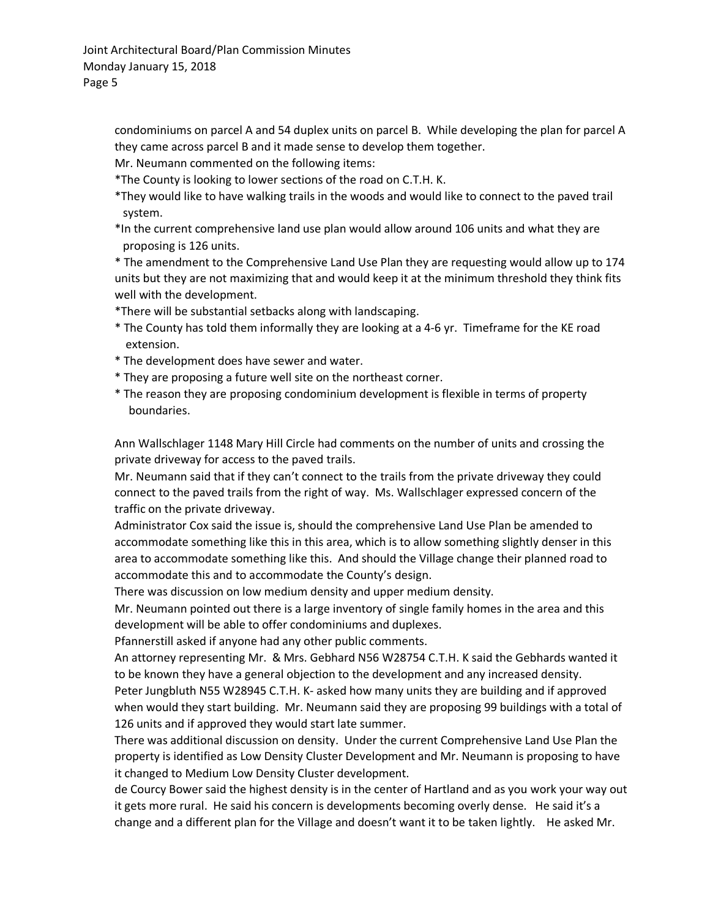condominiums on parcel A and 54 duplex units on parcel B. While developing the plan for parcel A they came across parcel B and it made sense to develop them together.

Mr. Neumann commented on the following items:

\*The County is looking to lower sections of the road on C.T.H. K.

- \*They would like to have walking trails in the woods and would like to connect to the paved trail system.
- \*In the current comprehensive land use plan would allow around 106 units and what they are proposing is 126 units.

\* The amendment to the Comprehensive Land Use Plan they are requesting would allow up to 174 units but they are not maximizing that and would keep it at the minimum threshold they think fits well with the development.

\*There will be substantial setbacks along with landscaping.

- \* The County has told them informally they are looking at a 4-6 yr. Timeframe for the KE road extension.
- \* The development does have sewer and water.
- \* They are proposing a future well site on the northeast corner.
- \* The reason they are proposing condominium development is flexible in terms of property boundaries.

Ann Wallschlager 1148 Mary Hill Circle had comments on the number of units and crossing the private driveway for access to the paved trails.

Mr. Neumann said that if they can't connect to the trails from the private driveway they could connect to the paved trails from the right of way. Ms. Wallschlager expressed concern of the traffic on the private driveway.

Administrator Cox said the issue is, should the comprehensive Land Use Plan be amended to accommodate something like this in this area, which is to allow something slightly denser in this area to accommodate something like this. And should the Village change their planned road to accommodate this and to accommodate the County's design.

There was discussion on low medium density and upper medium density.

Mr. Neumann pointed out there is a large inventory of single family homes in the area and this development will be able to offer condominiums and duplexes.

Pfannerstill asked if anyone had any other public comments.

An attorney representing Mr. & Mrs. Gebhard N56 W28754 C.T.H. K said the Gebhards wanted it to be known they have a general objection to the development and any increased density.

Peter Jungbluth N55 W28945 C.T.H. K- asked how many units they are building and if approved when would they start building. Mr. Neumann said they are proposing 99 buildings with a total of 126 units and if approved they would start late summer.

There was additional discussion on density. Under the current Comprehensive Land Use Plan the property is identified as Low Density Cluster Development and Mr. Neumann is proposing to have it changed to Medium Low Density Cluster development.

de Courcy Bower said the highest density is in the center of Hartland and as you work your way out it gets more rural. He said his concern is developments becoming overly dense. He said it's a change and a different plan for the Village and doesn't want it to be taken lightly. He asked Mr.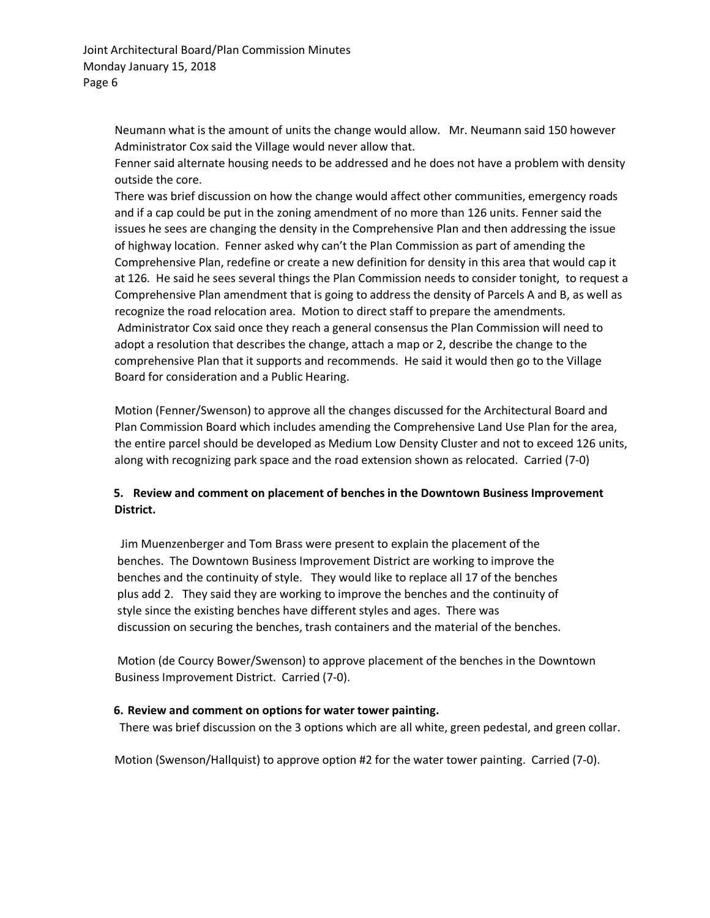Neumann what is the amount of units the change would allow. Mr. Neumann said 150 however Administrator Cox said the Village would never allow that.

Fenner said alternate housing needs to be addressed and he does not have a problem with density outside the core.

There was brief discussion on how the change would affect other communities, emergency roads and if a cap could be put in the zoning amendment of no more than 126 units. Fenner said the issues he sees are changing the density in the Comprehensive Plan and then addressing the issue of highway location. Fenner asked why can't the Plan Commission as part of amending the Comprehensive Plan, redefine or create a new definition for density in this area that would cap it at 126. He said he sees several things the Plan Commission needs to consider tonight, to request a Comprehensive Plan amendment that is going to address the density of Parcels A and B, as well as recognize the road relocation area. Motion to direct staff to prepare the amendments. Administrator Cox said once they reach a general consensus the Plan Commission will need to adopt a resolution that describes the change, attach a map or 2, describe the change to the comprehensive Plan that it supports and recommends. He said it would then go to the Village Board for consideration and a Public Hearing.

Motion (Fenner/Swenson) to approve all the changes discussed for the Architectural Board and Plan Commission Board which includes amending the Comprehensive Land Use Plan for the area, the entire parcel should be developed as Medium Low Density Cluster and not to exceed 126 units, along with recognizing park space and the road extension shown as relocated. Carried (7-0)

## **5. Review and comment on placement of benches in the Downtown Business Improvement District.**

Jim Muenzenberger and Tom Brass were present to explain the placement of the benches. The Downtown Business Improvement District are working to improve the benches and the continuity of style. They would like to replace all 17 of the benches plus add 2. They said they are working to improve the benches and the continuity of style since the existing benches have different styles and ages. There was discussion on securing the benches, trash containers and the material of the benches.

Motion (de Courcy Bower/Swenson) to approve placement of the benches in the Downtown Business Improvement District. Carried (7-0).

#### **6. Review and comment on options for water tower painting.**

There was brief discussion on the 3 options which are all white, green pedestal, and green collar.

Motion (Swenson/Hallquist) to approve option #2 for the water tower painting. Carried (7-0).